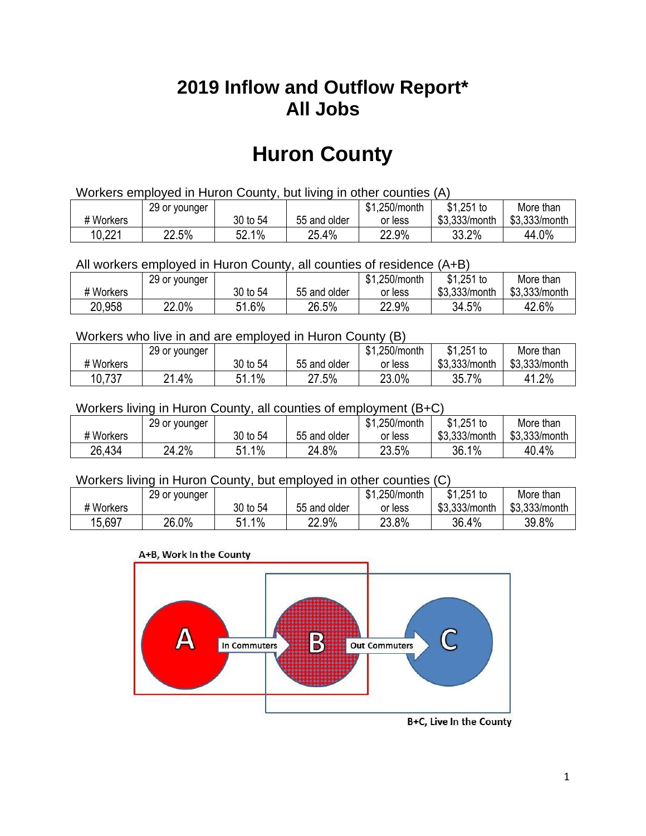## **2019 Inflow and Outflow Report\* All Jobs**

# **Huron County**

| Workers employed in Huron County, but living in other counties (A) |                                                            |          |              |         |               |               |  |  |  |
|--------------------------------------------------------------------|------------------------------------------------------------|----------|--------------|---------|---------------|---------------|--|--|--|
|                                                                    | $$1,251$ to<br>\$1.250/month<br>29 or younger<br>More than |          |              |         |               |               |  |  |  |
| # Workers                                                          |                                                            | 30 to 54 | 55 and older | or less | \$3.333/month | \$3,333/month |  |  |  |
| 10,221                                                             | 22.5%                                                      | 52.1%    | 25.4%        | 22.9%   | 33.2%         | 44.0%         |  |  |  |

All workers employed in Huron County, all counties of residence (A+B)

|           | 29 or younger |          |              | \$1,250/month | $$1,251$ to   | More than     |
|-----------|---------------|----------|--------------|---------------|---------------|---------------|
| # Workers |               | 30 to 54 | 55 and older | or less       | \$3,333/month | \$3,333/month |
| 20,958    | 22.0%         | 1.6% د   | 26.5%        | 22.9%         | 34.5%         | 42.6%         |

#### Workers who live in and are employed in Huron County (B)

|           | 29 or younger |               |              | \$1,250/month | $$1,251$ to   | More than     |
|-----------|---------------|---------------|--------------|---------------|---------------|---------------|
| # Workers |               | 30 to 54      | 55 and older | or less       | \$3,333/month | \$3,333/month |
| 10,737    | $.4\%$<br>ດ4  | $1\%$<br>C 4. | $27.5\%$     | 23.0%         | 35.7%         | 41.2%         |

#### Workers living in Huron County, all counties of employment (B+C)

|           | 29 or younger |               |              | <b>01</b><br>.250/month<br>ক। | $$1,251$ to   | More than     |
|-----------|---------------|---------------|--------------|-------------------------------|---------------|---------------|
| # Workers |               | 30 to 54      | 55 and older | or less                       | \$3,333/month | \$3,333/month |
| 26,434    | 24.2%         | $1.1\%$<br>54 | 24.8%        | 23.5%                         | 36.1%         | 40.4%         |

#### Workers living in Huron County, but employed in other counties (C)

|           | 29 or younger |           |              | \$1,250/month | $$1,251$ to   | More than     |
|-----------|---------------|-----------|--------------|---------------|---------------|---------------|
| # Workers |               | 30 to 54  | 55 and older | or less       | \$3,333/month | \$3,333/month |
| 15,697    | 26.0%         | 1%<br>E 1 | 22.9%        | 23.8%         | 36.4%         | 39.8%         |

#### A+B, Work In the County



B+C, Live In the County